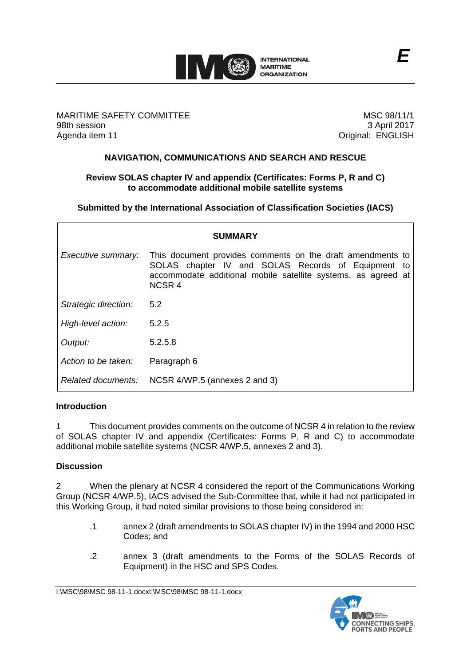

MARITIME SAFETY COMMITTEE 98th session Agenda item 11

MSC 98/11/1 3 April 2017 Original: ENGLISH

# **NAVIGATION, COMMUNICATIONS AND SEARCH AND RESCUE**

# **Review SOLAS chapter IV and appendix (Certificates: Forms P, R and C) to accommodate additional mobile satellite systems**

**Submitted by the International Association of Classification Societies (IACS)**

| <b>SUMMARY</b>       |                                                                                                                                                                                                   |  |  |
|----------------------|---------------------------------------------------------------------------------------------------------------------------------------------------------------------------------------------------|--|--|
| Executive summary:   | This document provides comments on the draft amendments to<br>SOLAS chapter IV and SOLAS Records of Equipment to<br>accommodate additional mobile satellite systems, as agreed at<br><b>NCSR4</b> |  |  |
| Strategic direction: | 5.2                                                                                                                                                                                               |  |  |
| High-level action:   | 5.2.5                                                                                                                                                                                             |  |  |
| Output:              | 5.2.5.8                                                                                                                                                                                           |  |  |
| Action to be taken:  | Paragraph 6                                                                                                                                                                                       |  |  |
| Related documents:   | NCSR 4/WP.5 (annexes 2 and 3)                                                                                                                                                                     |  |  |

## **Introduction**

1 This document provides comments on the outcome of NCSR 4 in relation to the review of SOLAS chapter IV and appendix (Certificates: Forms P, R and C) to accommodate additional mobile satellite systems (NCSR 4/WP.5, annexes 2 and 3).

# **Discussion**

2 When the plenary at NCSR 4 considered the report of the Communications Working Group (NCSR 4/WP.5), IACS advised the Sub-Committee that, while it had not participated in this Working Group, it had noted similar provisions to those being considered in:

- .1 annex 2 (draft amendments to SOLAS chapter IV) in the 1994 and 2000 HSC Codes; and
- .2 annex 3 (draft amendments to the Forms of the SOLAS Records of Equipment) in the HSC and SPS Codes.

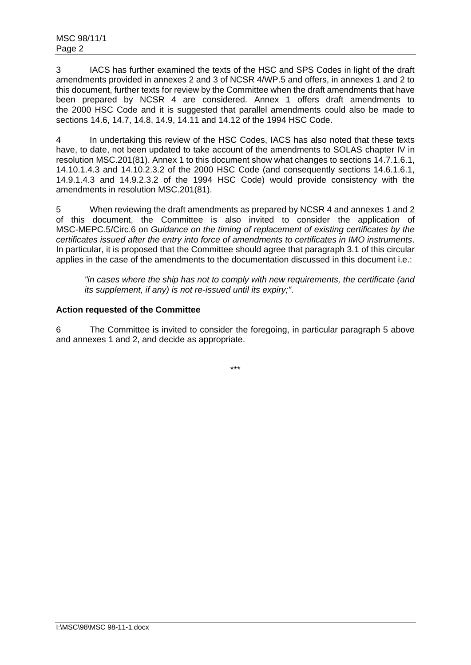3 IACS has further examined the texts of the HSC and SPS Codes in light of the draft amendments provided in annexes 2 and 3 of NCSR 4/WP.5 and offers, in annexes 1 and 2 to this document, further texts for review by the Committee when the draft amendments that have been prepared by NCSR 4 are considered. Annex 1 offers draft amendments to the 2000 HSC Code and it is suggested that parallel amendments could also be made to sections 14.6, 14.7, 14.8, 14.9, 14.11 and 14.12 of the 1994 HSC Code.

4 In undertaking this review of the HSC Codes, IACS has also noted that these texts have, to date, not been updated to take account of the amendments to SOLAS chapter IV in resolution MSC.201(81). Annex 1 to this document show what changes to sections 14.7.1.6.1, 14.10.1.4.3 and 14.10.2.3.2 of the 2000 HSC Code (and consequently sections 14.6.1.6.1, 14.9.1.4.3 and 14.9.2.3.2 of the 1994 HSC Code) would provide consistency with the amendments in resolution MSC.201(81).

5 When reviewing the draft amendments as prepared by NCSR 4 and annexes 1 and 2 of this document, the Committee is also invited to consider the application of MSC-MEPC.5/Circ.6 on *Guidance on the timing of replacement of existing certificates by the certificates issued after the entry into force of amendments to certificates in IMO instruments*. In particular, it is proposed that the Committee should agree that paragraph 3.1 of this circular applies in the case of the amendments to the documentation discussed in this document i.e.:

*"in cases where the ship has not to comply with new requirements, the certificate (and its supplement, if any) is not re-issued until its expiry;"*.

# **Action requested of the Committee**

6 The Committee is invited to consider the foregoing, in particular paragraph 5 above and annexes 1 and 2, and decide as appropriate.

\*\*\*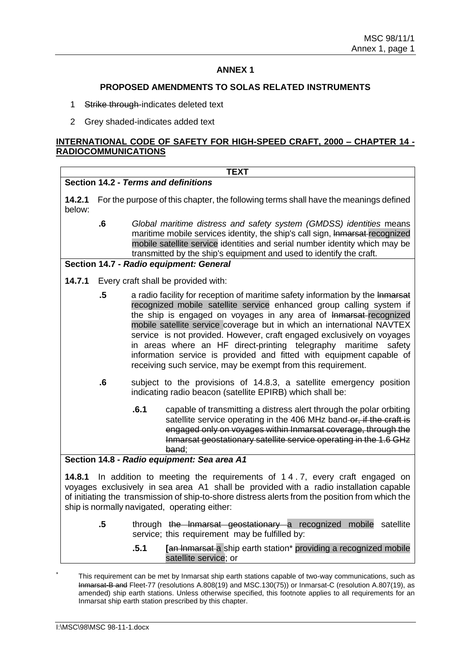## **ANNEX 1**

#### **PROPOSED AMENDMENTS TO SOLAS RELATED INSTRUMENTS**

- 1 Strike through-indicates deleted text
- 2 Grey shaded-indicates added text

### **INTERNATIONAL CODE OF SAFETY FOR HIGH-SPEED CRAFT, 2000 – CHAPTER 14 - RADIOCOMMUNICATIONS**

|                                                                                                                                                                                                                                                                                                                                  |                         | <b>TEXT</b>                                                                                                                                                                                                                                                                                                                                                                                                                                                                                                                                                                                  |  |
|----------------------------------------------------------------------------------------------------------------------------------------------------------------------------------------------------------------------------------------------------------------------------------------------------------------------------------|-------------------------|----------------------------------------------------------------------------------------------------------------------------------------------------------------------------------------------------------------------------------------------------------------------------------------------------------------------------------------------------------------------------------------------------------------------------------------------------------------------------------------------------------------------------------------------------------------------------------------------|--|
| Section 14.2 - Terms and definitions                                                                                                                                                                                                                                                                                             |                         |                                                                                                                                                                                                                                                                                                                                                                                                                                                                                                                                                                                              |  |
| 14.2.1<br>below:                                                                                                                                                                                                                                                                                                                 |                         | For the purpose of this chapter, the following terms shall have the meanings defined                                                                                                                                                                                                                                                                                                                                                                                                                                                                                                         |  |
|                                                                                                                                                                                                                                                                                                                                  | $\overline{\mathbf{6}}$ | Global maritime distress and safety system (GMDSS) identities means<br>maritime mobile services identity, the ship's call sign, Inmarsat recognized<br>mobile satellite service identities and serial number identity which may be<br>transmitted by the ship's equipment and used to identify the craft.                                                                                                                                                                                                                                                                                    |  |
| Section 14.7 - Radio equipment: General                                                                                                                                                                                                                                                                                          |                         |                                                                                                                                                                                                                                                                                                                                                                                                                                                                                                                                                                                              |  |
| 14.7.1                                                                                                                                                                                                                                                                                                                           |                         | Every craft shall be provided with:                                                                                                                                                                                                                                                                                                                                                                                                                                                                                                                                                          |  |
|                                                                                                                                                                                                                                                                                                                                  | $.5\,$                  | a radio facility for reception of maritime safety information by the Inmarsat<br>recognized mobile satellite service enhanced group calling system if<br>the ship is engaged on voyages in any area of Inmarsat-recognized<br>mobile satellite service coverage but in which an international NAVTEX<br>service is not provided. However, craft engaged exclusively on voyages<br>in areas where an HF direct-printing telegraphy maritime<br>safety<br>information service is provided and fitted with equipment capable of<br>receiving such service, may be exempt from this requirement. |  |
|                                                                                                                                                                                                                                                                                                                                  | $\overline{\mathbf{6}}$ | subject to the provisions of 14.8.3, a satellite emergency position<br>indicating radio beacon (satellite EPIRB) which shall be:                                                                                                                                                                                                                                                                                                                                                                                                                                                             |  |
|                                                                                                                                                                                                                                                                                                                                  |                         | .6.1<br>capable of transmitting a distress alert through the polar orbiting<br>satellite service operating in the 406 MHz band-or, if the craft is<br>engaged only on voyages within Inmarsat coverage, through the<br>Inmarsat geostationary satellite service operating in the 1.6 GHz<br>band:                                                                                                                                                                                                                                                                                            |  |
| Section 14.8 - Radio equipment: Sea area A1                                                                                                                                                                                                                                                                                      |                         |                                                                                                                                                                                                                                                                                                                                                                                                                                                                                                                                                                                              |  |
| 14.8.1<br>In addition to meeting the requirements of 14.7, every craft engaged on<br>voyages exclusively in sea area A1 shall be provided with a radio installation capable<br>of initiating the transmission of ship-to-shore distress alerts from the position from which the<br>ship is normally navigated, operating either: |                         |                                                                                                                                                                                                                                                                                                                                                                                                                                                                                                                                                                                              |  |
|                                                                                                                                                                                                                                                                                                                                  | $.5\phantom{0}$         | through the Inmarsat geostationary a recognized mobile<br>satellite<br>service; this requirement may be fulfilled by:                                                                                                                                                                                                                                                                                                                                                                                                                                                                        |  |

**.5.1 [**an lnmarsat a ship earth station\* providing a recognized mobile satellite service; or

This requirement can be met by Inmarsat ship earth stations capable of two-way communications, such as Inmarsat-B and Fleet-77 (resolutions A.808(19) and MSC.130(75)) or Inmarsat-C (resolution A.807(19), as amended) ship earth stations. Unless otherwise specified, this footnote applies to all requirements for an Inmarsat ship earth station prescribed by this chapter.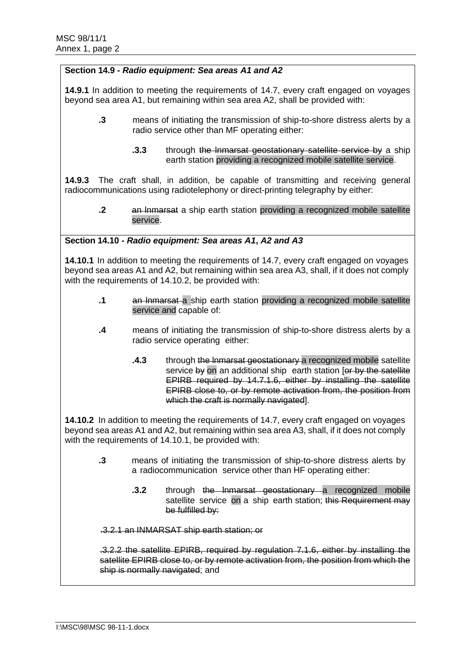## **Section 14.9 -** *Radio equipment: Sea areas A1 and A2*

**14.9.1** In addition to meeting the requirements of 14.7, every craft engaged on voyages beyond sea area A1, but remaining within sea area A2, shall be provided with:

- **.3** means of initiating the transmission of ship-to-shore distress alerts by a radio service other than MF operating either:
	- **.3.3** through the Inmarsat geostationary satellite service by a ship earth station providing a recognized mobile satellite service.

**14.9.3** The craft shall, in addition, be capable of transmitting and receiving general radiocommunications using radiotelephony or direct-printing telegraphy by either:

**.2** an lnmarsat a ship earth station providing a recognized mobile satellite service.

**Section 14.10 -** *Radio equipment: Sea areas A1***,** *A2 and A3*

**14.10.1** In addition to meeting the requirements of 14.7, every craft engaged on voyages beyond sea areas A1 and A2, but remaining within sea area A3, shall, if it does not comply with the requirements of 14.10.2, be provided with:

- **.1** an lnmarsat a ship earth station providing a recognized mobile satellite service and capable of:
- **.4** means of initiating the transmission of ship-to-shore distress alerts by a radio service operating either:
	- **.4.3** through the lnmarsat geostationary a recognized mobile satellite service by on an additional ship earth station for by the satellite EPIRB required by 14.7.1.6, either by installing the satellite EPIRB close to, or by remote activation from, the position from which the craft is normally navigated].

**14.10.2** In addition to meeting the requirements of 14.7, every craft engaged on voyages beyond sea areas A1 and A2, but remaining within sea area A3, shall, if it does not comply with the requirements of 14.10.1, be provided with:

- **.3** means of initiating the transmission of ship-to-shore distress alerts by a radiocommunication service other than HF operating either:
	- **3.2** through the Inmarsat geostationary a recognized mobile satellite service on a ship earth station; this Requirement may be fulfilled by:

.3.2.1 an INMARSAT ship earth station; or

.3.2.2 the satellite EPIRB, required by regulation 7.1.6, either by installing the satellite EPIRB close to, or by remote activation from, the position from which the ship is normally navigated; and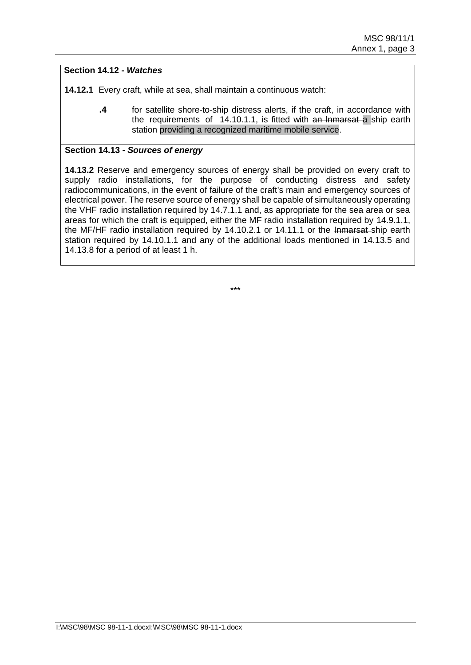# **Section 14.12 -** *Watches*

**14.12.1** Every craft, while at sea, shall maintain a continuous watch:

**.4** for satellite shore-to-ship distress alerts, if the craft, in accordance with the requirements of 14.10.1.1, is fitted with an lnmarsat a ship earth station providing a recognized maritime mobile service.

### **Section 14.13 -** *Sources of energy*

**14.13.2** Reserve and emergency sources of energy shall be provided on every craft to supply radio installations, for the purpose of conducting distress and safety radiocommunications, in the event of failure of the craft's main and emergency sources of electrical power. The reserve source of energy shall be capable of simultaneously operating the VHF radio installation required by 14.7.1.1 and, as appropriate for the sea area or sea areas for which the craft is equipped, either the MF radio installation required by 14.9.1.1, the MF/HF radio installation required by 14.10.2.1 or 14.11.1 or the Inmarsat ship earth station required by 14.10.1.1 and any of the additional loads mentioned in 14.13.5 and 14.13.8 for a period of at least 1 h.

\*\*\*